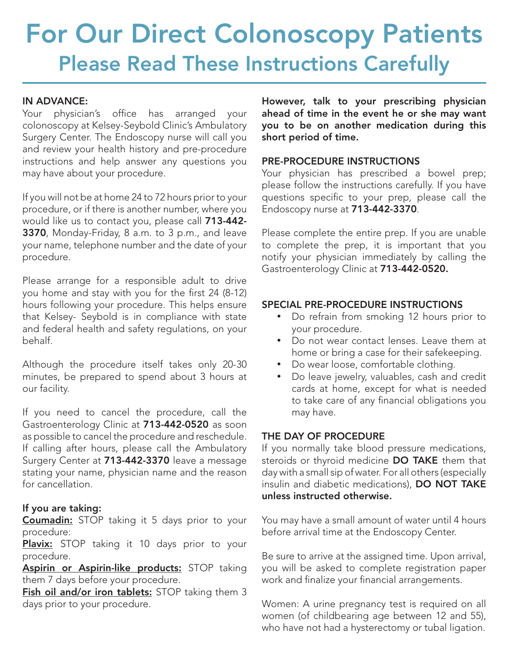# For Our Direct Colonoscopy Patients Please Read These Instructions Carefully

### IN ADVANCE:

Your physician's office has arranged your colonoscopy at Kelsey-Seybold Clinic's Ambulatory Surgery Center. The Endoscopy nurse will call you and review your health history and pre-procedure instructions and help answer any questions you may have about your procedure.

If you will not be at home 24 to 72 hours prior to your procedure, or if there is another number, where you would like us to contact you, please call 713-442- 3370, Monday-Friday, 8 a.m. to 3 p.m., and leave your name, telephone number and the date of your procedure.

Please arrange for a responsible adult to drive you home and stay with you for the first 24 (8-12) hours following your procedure. This helps ensure that Kelsey- Seybold is in compliance with state and federal health and safety regulations, on your behalf.

Although the procedure itself takes only 20-30 minutes, be prepared to spend about 3 hours at our facility.

If you need to cancel the procedure, call the Gastroenterology Clinic at 713-442-0520 as soon as possible to cancel the procedure and reschedule. If calling after hours, please call the Ambulatory Surgery Center at 713-442-3370 leave a message stating your name, physician name and the reason for cancellation.

# If you are taking:

**Coumadin:** STOP taking it 5 days prior to your procedure:

Plavix: STOP taking it 10 days prior to your procedure.

Aspirin or Aspirin-like products: STOP taking them 7 days before your procedure.

Fish oil and/or iron tablets: STOP taking them 3 days prior to your procedure.

However, talk to your prescribing physician ahead of time in the event he or she may want you to be on another medication during this short period of time.

## PRE-PROCEDURE INSTRUCTIONS

Your physician has prescribed a bowel prep; please follow the instructions carefully. If you have questions specific to your prep, please call the Endoscopy nurse at 713-442-3370.

Please complete the entire prep. If you are unable to complete the prep, it is important that you notify your physician immediately by calling the Gastroenterology Clinic at 713-442-0520.

# SPECIAL PRE-PROCEDURE INSTRUCTIONS

- • Do refrain from smoking 12 hours prior to your procedure.
- • Do not wear contact lenses. Leave them at home or bring a case for their safekeeping.
- • Do wear loose, comfortable clothing.
- Do leave jewelry, valuables, cash and credit cards at home, except for what is needed to take care of any financial obligations you may have.

# THE DAY OF PROCEDURE

If you normally take blood pressure medications, steroids or thyroid medicine DO TAKE them that day with a small sip of water. For all others (especially insulin and diabetic medications), DO NOT TAKE unless instructed otherwise.

You may have a small amount of water until 4 hours before arrival time at the Endoscopy Center.

Be sure to arrive at the assigned time. Upon arrival, you will be asked to complete registration paper work and finalize your financial arrangements.

Women: A urine pregnancy test is required on all women (of childbearing age between 12 and 55), who have not had a hysterectomy or tubal ligation.